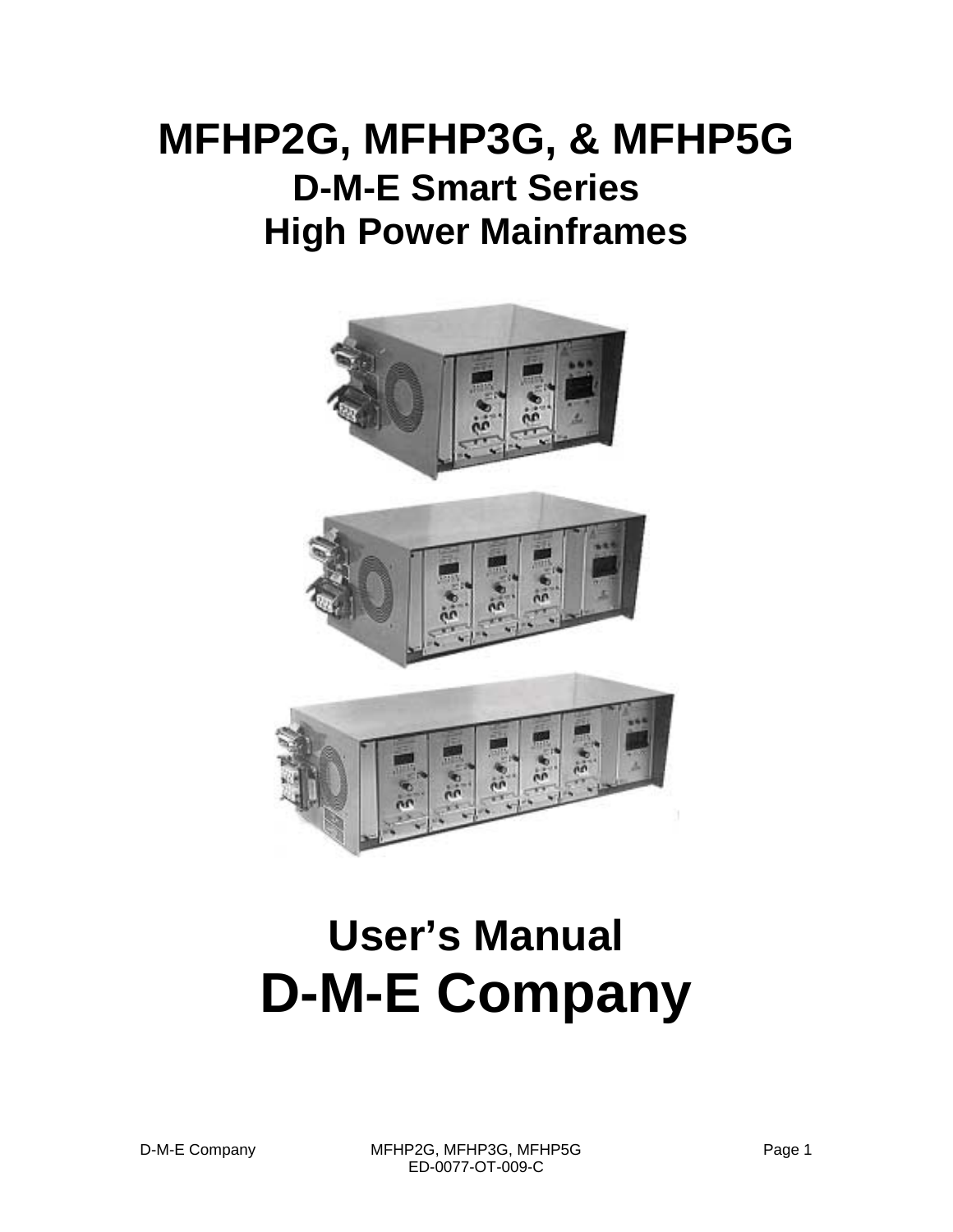## **MFHP2G, MFHP3G, & MFHP5G D-M-E Smart Series High Power Mainframes**



# **User's Manual D-M-E Company**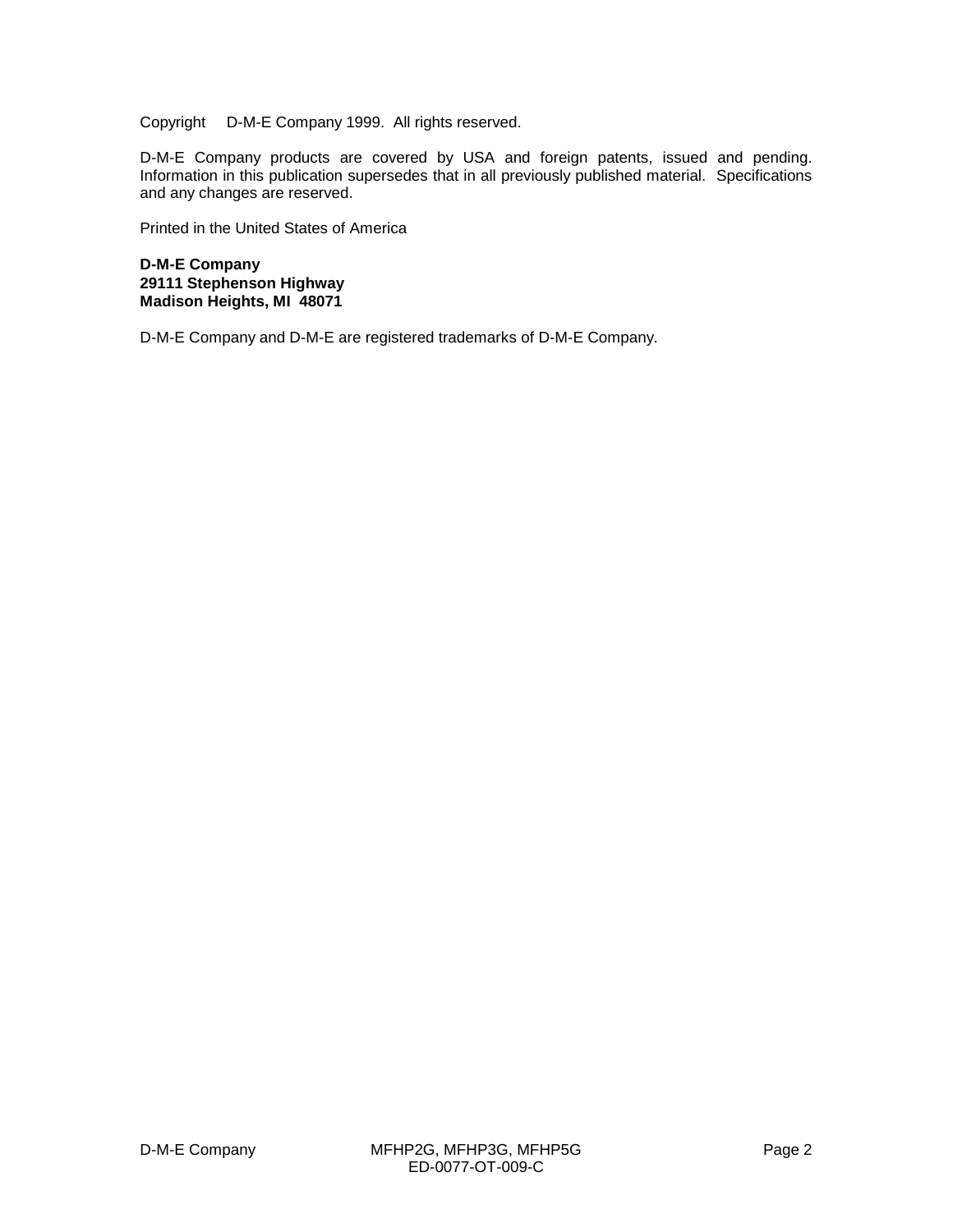Copyright © D-M-E Company 1999. All rights reserved.

D-M-E Company products are covered by USA and foreign patents, issued and pending. Information in this publication supersedes that in all previously published material. Specifications and any changes are reserved.

Printed in the United States of America

**D-M-E Company 29111 Stephenson Highway Madison Heights, MI 48071**

D-M-E Company and D-M-E are registered trademarks of D-M-E Company.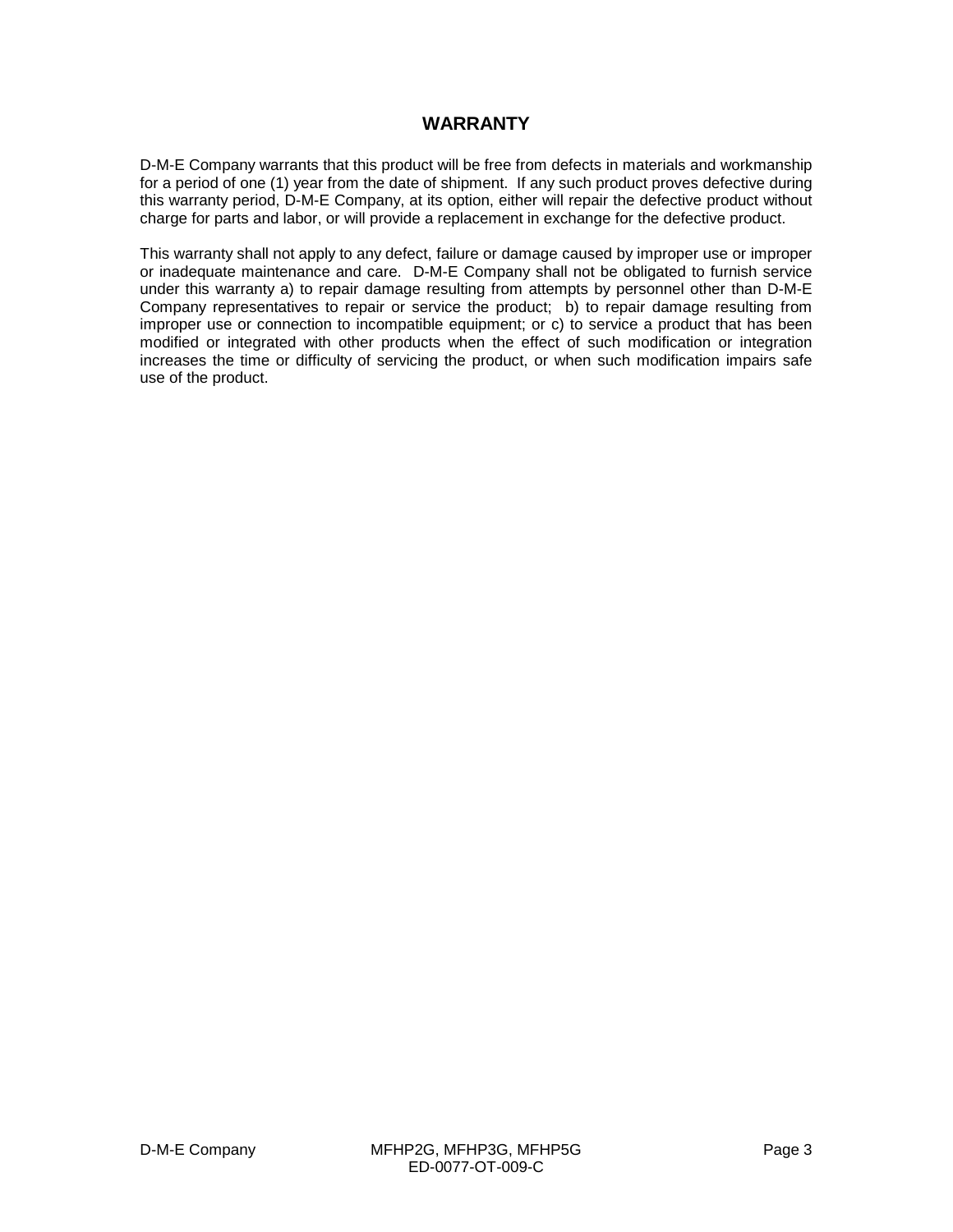#### **WARRANTY**

D-M-E Company warrants that this product will be free from defects in materials and workmanship for a period of one (1) year from the date of shipment. If any such product proves defective during this warranty period, D-M-E Company, at its option, either will repair the defective product without charge for parts and labor, or will provide a replacement in exchange for the defective product.

This warranty shall not apply to any defect, failure or damage caused by improper use or improper or inadequate maintenance and care. D-M-E Company shall not be obligated to furnish service under this warranty a) to repair damage resulting from attempts by personnel other than D-M-E Company representatives to repair or service the product; b) to repair damage resulting from improper use or connection to incompatible equipment; or c) to service a product that has been modified or integrated with other products when the effect of such modification or integration increases the time or difficulty of servicing the product, or when such modification impairs safe use of the product.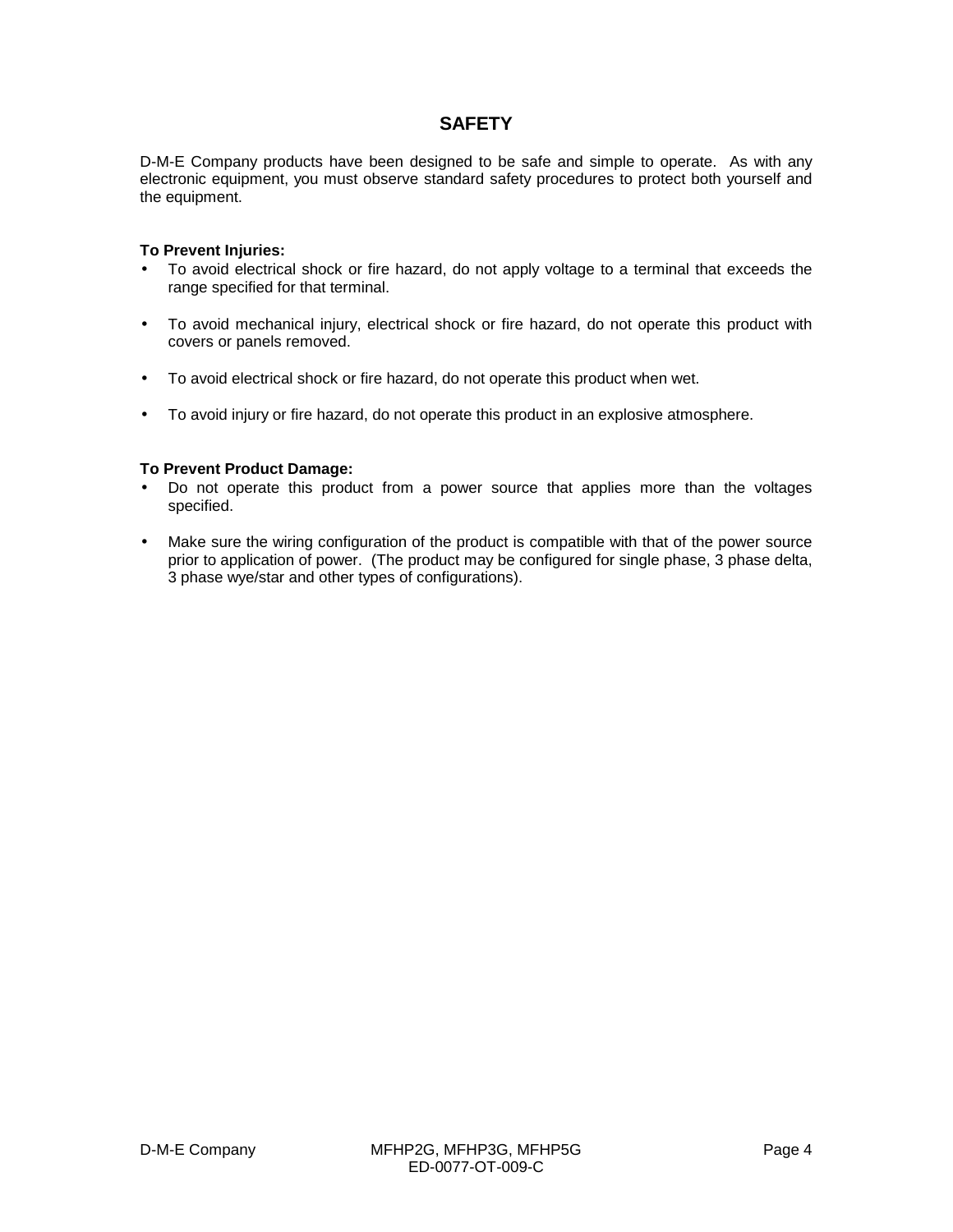#### **SAFETY**

D-M-E Company products have been designed to be safe and simple to operate. As with any electronic equipment, you must observe standard safety procedures to protect both yourself and the equipment.

#### **To Prevent Injuries:**

- To avoid electrical shock or fire hazard, do not apply voltage to a terminal that exceeds the range specified for that terminal.
- To avoid mechanical injury, electrical shock or fire hazard, do not operate this product with covers or panels removed.
- To avoid electrical shock or fire hazard, do not operate this product when wet.
- To avoid injury or fire hazard, do not operate this product in an explosive atmosphere.

#### **To Prevent Product Damage:**

- Do not operate this product from a power source that applies more than the voltages specified.
- Make sure the wiring configuration of the product is compatible with that of the power source prior to application of power. (The product may be configured for single phase, 3 phase delta, 3 phase wye/star and other types of configurations).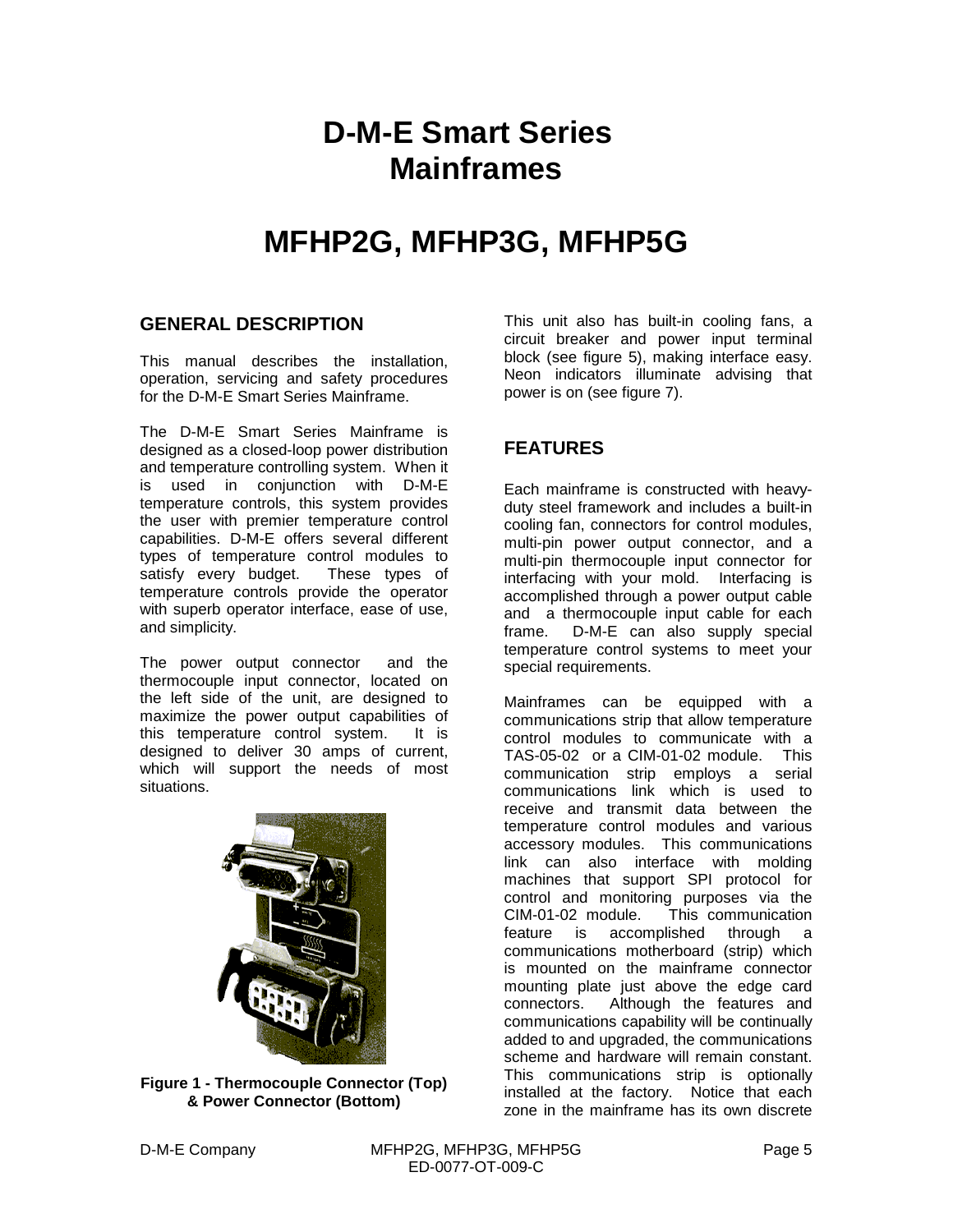## **D-M-E Smart Series Mainframes**

### **MFHP2G, MFHP3G, MFHP5G**

#### **GENERAL DESCRIPTION**

This manual describes the installation, operation, servicing and safety procedures for the D-M-E Smart Series Mainframe.

The D-M-E Smart Series Mainframe is designed as a closed-loop power distribution and temperature controlling system. When it is used in conjunction with D-M-E temperature controls, this system provides the user with premier temperature control capabilities. D-M-E offers several different types of temperature control modules to satisfy every budget. These types of temperature controls provide the operator with superb operator interface, ease of use, and simplicity.

The power output connector and the thermocouple input connector, located on the left side of the unit, are designed to maximize the power output capabilities of this temperature control system. It is designed to deliver 30 amps of current, which will support the needs of most situations.



**Figure 1 - Thermocouple Connector (Top) & Power Connector (Bottom)**

This unit also has built-in cooling fans, a circuit breaker and power input terminal block (see figure 5), making interface easy. Neon indicators illuminate advising that power is on (see figure 7).

#### **FEATURES**

Each mainframe is constructed with heavyduty steel framework and includes a built-in cooling fan, connectors for control modules, multi-pin power output connector, and a multi-pin thermocouple input connector for interfacing with your mold. Interfacing is accomplished through a power output cable and a thermocouple input cable for each frame. D-M-E can also supply special temperature control systems to meet your special requirements.

Mainframes can be equipped with a communications strip that allow temperature control modules to communicate with a TAS-05-02 or a CIM-01-02 module. This communication strip employs a serial communications link which is used to receive and transmit data between the temperature control modules and various accessory modules. This communications link can also interface with molding machines that support SPI protocol for control and monitoring purposes via the CIM-01-02 module. This communication feature is accomplished through a communications motherboard (strip) which is mounted on the mainframe connector mounting plate just above the edge card connectors. Although the features and communications capability will be continually added to and upgraded, the communications scheme and hardware will remain constant. This communications strip is optionally installed at the factory. Notice that each zone in the mainframe has its own discrete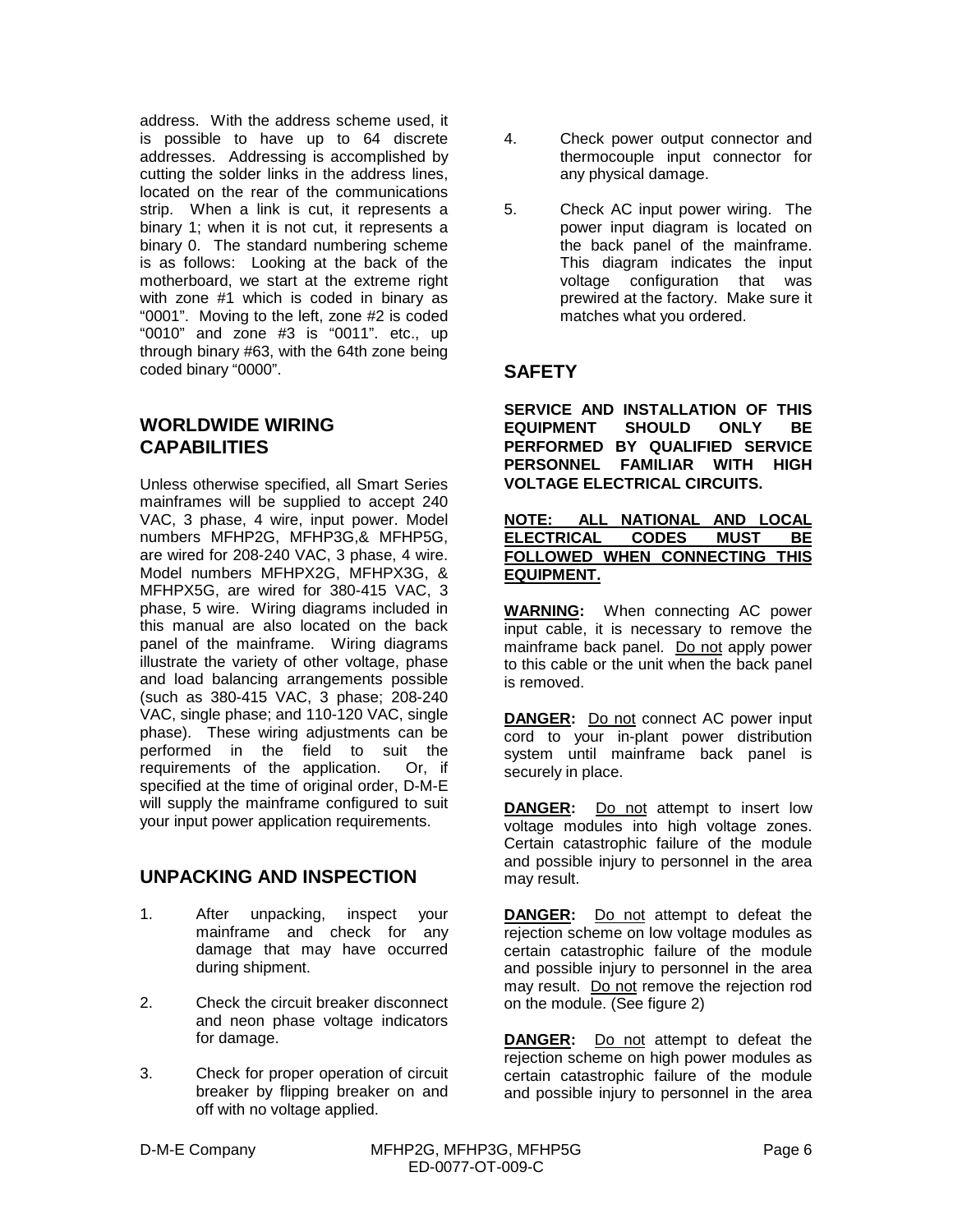address. With the address scheme used, it is possible to have up to 64 discrete addresses. Addressing is accomplished by cutting the solder links in the address lines, located on the rear of the communications strip. When a link is cut, it represents a binary 1; when it is not cut, it represents a binary 0. The standard numbering scheme is as follows: Looking at the back of the motherboard, we start at the extreme right with zone #1 which is coded in binary as "0001". Moving to the left, zone #2 is coded "0010" and zone #3 is "0011". etc., up through binary #63, with the 64th zone being coded binary "0000".

#### **WORLDWIDE WIRING CAPABILITIES**

Unless otherwise specified, all Smart Series mainframes will be supplied to accept 240 VAC, 3 phase, 4 wire, input power. Model numbers MFHP2G, MFHP3G,& MFHP5G, are wired for 208-240 VAC, 3 phase, 4 wire. Model numbers MFHPX2G, MFHPX3G, & MFHPX5G, are wired for 380-415 VAC, 3 phase, 5 wire. Wiring diagrams included in this manual are also located on the back panel of the mainframe. Wiring diagrams illustrate the variety of other voltage, phase and load balancing arrangements possible (such as 380-415 VAC, 3 phase; 208-240 VAC, single phase; and 110-120 VAC, single phase). These wiring adjustments can be performed in the field to suit the requirements of the application. Or, if specified at the time of original order, D-M-E will supply the mainframe configured to suit your input power application requirements.

#### **UNPACKING AND INSPECTION**

- 1. After unpacking, inspect your mainframe and check for any damage that may have occurred during shipment.
- 2. Check the circuit breaker disconnect and neon phase voltage indicators for damage.
- 3. Check for proper operation of circuit breaker by flipping breaker on and off with no voltage applied.
- 4. Check power output connector and thermocouple input connector for any physical damage.
- 5. Check AC input power wiring. The power input diagram is located on the back panel of the mainframe. This diagram indicates the input voltage configuration that was prewired at the factory. Make sure it matches what you ordered.

#### **SAFETY**

**SERVICE AND INSTALLATION OF THIS EQUIPMENT SHOULD ONLY BE PERFORMED BY QUALIFIED SERVICE PERSONNEL FAMILIAR WITH HIGH VOLTAGE ELECTRICAL CIRCUITS.**

#### **NOTE: ALL NATIONAL AND LOCAL ELECTRICAL CODES MUST BE FOLLOWED WHEN CONNECTING THIS EQUIPMENT.**

**WARNING:** When connecting AC power input cable, it is necessary to remove the mainframe back panel. Do not apply power to this cable or the unit when the back panel is removed.

**DANGER:** Do not connect AC power input cord to your in-plant power distribution system until mainframe back panel is securely in place.

**DANGER:** Do not attempt to insert low voltage modules into high voltage zones. Certain catastrophic failure of the module and possible injury to personnel in the area may result.

**DANGER:** Do not attempt to defeat the rejection scheme on low voltage modules as certain catastrophic failure of the module and possible injury to personnel in the area may result. Do not remove the rejection rod on the module. (See figure 2)

**DANGER:** Do not attempt to defeat the rejection scheme on high power modules as certain catastrophic failure of the module and possible injury to personnel in the area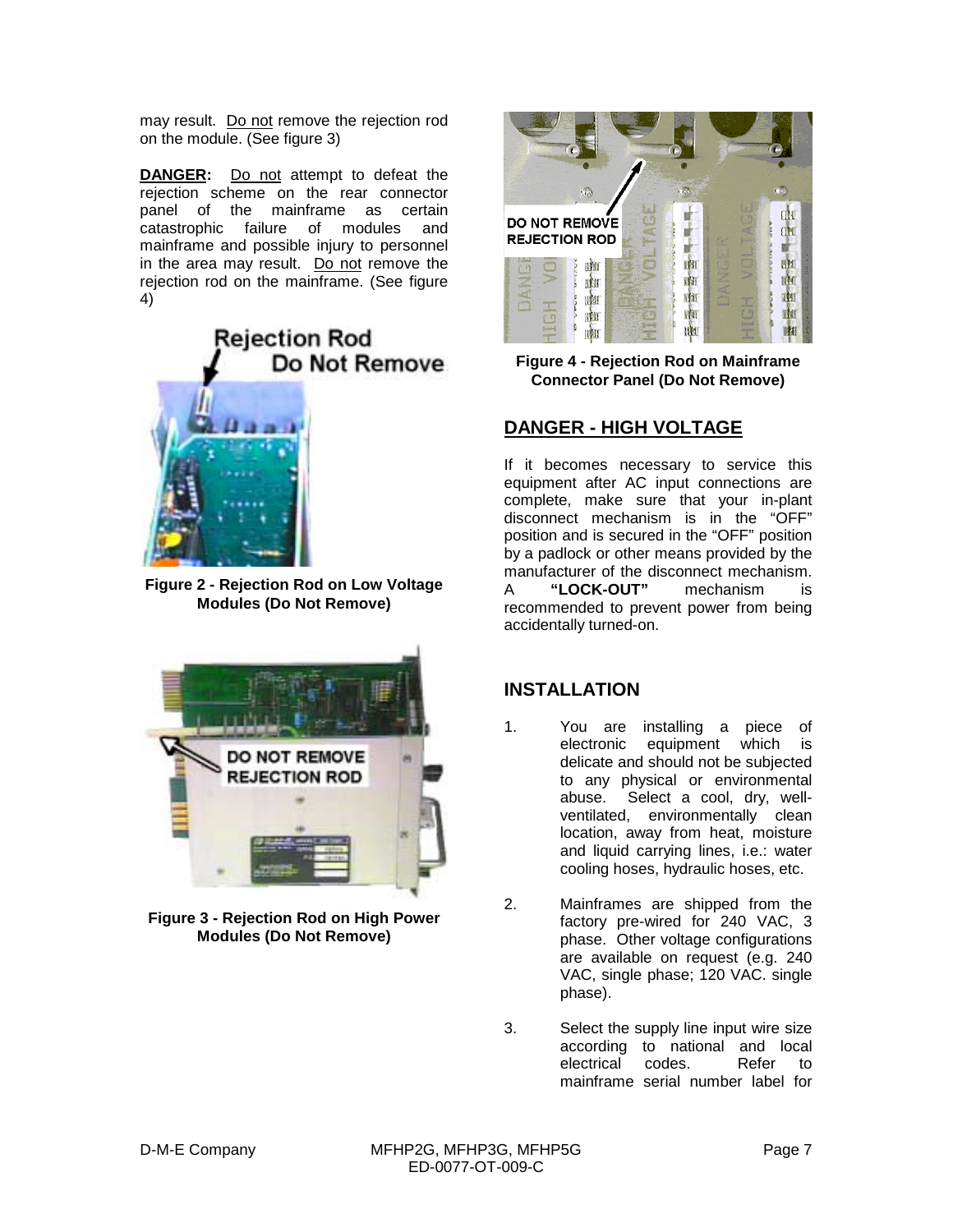may result. Do not remove the rejection rod on the module. (See figure 3)

**DANGER:** Do not attempt to defeat the rejection scheme on the rear connector panel of the mainframe as certain catastrophic failure of modules and mainframe and possible injury to personnel in the area may result. Do not remove the rejection rod on the mainframe. (See figure 4)



**Figure 2 - Rejection Rod on Low Voltage Modules (Do Not Remove)**



**Figure 3 - Rejection Rod on High Power Modules (Do Not Remove)**



**Figure 4 - Rejection Rod on Mainframe Connector Panel (Do Not Remove)**

#### **DANGER - HIGH VOLTAGE**

If it becomes necessary to service this equipment after AC input connections are complete, make sure that your in-plant disconnect mechanism is in the "OFF" position and is secured in the "OFF" position by a padlock or other means provided by the manufacturer of the disconnect mechanism. A **"LOCK-OUT"** mechanism is recommended to prevent power from being accidentally turned-on.

#### **INSTALLATION**

- 1. You are installing a piece of electronic equipment which is delicate and should not be subjected to any physical or environmental abuse. Select a cool, dry, wellventilated, environmentally clean location, away from heat, moisture and liquid carrying lines, i.e.: water cooling hoses, hydraulic hoses, etc.
- 2. Mainframes are shipped from the factory pre-wired for 240 VAC, 3 phase. Other voltage configurations are available on request (e.g. 240 VAC, single phase; 120 VAC. single phase).
- 3. Select the supply line input wire size according to national and local electrical codes. Refer to mainframe serial number label for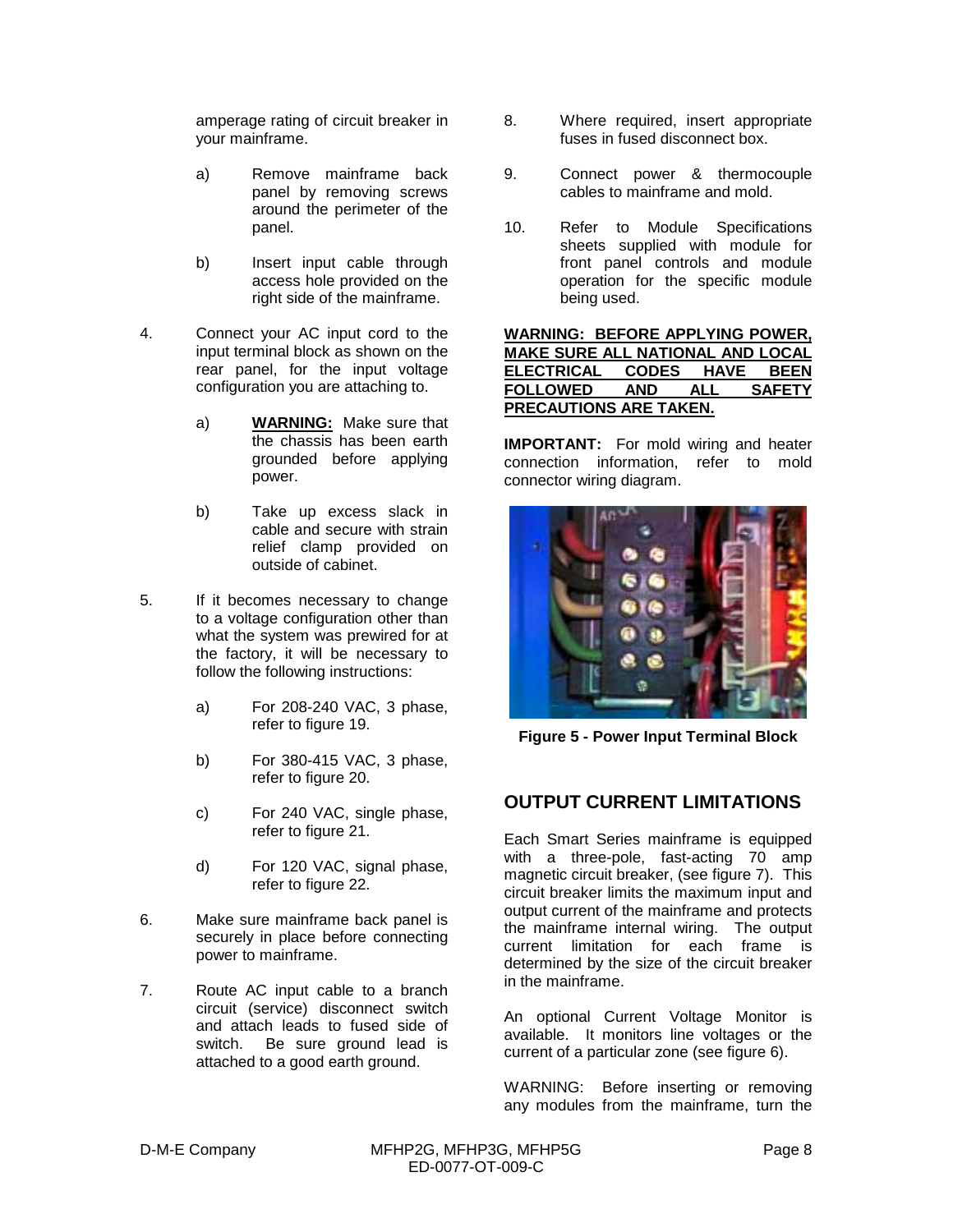amperage rating of circuit breaker in your mainframe.

- a) Remove mainframe back panel by removing screws around the perimeter of the panel.
- b) Insert input cable through access hole provided on the right side of the mainframe.
- 4. Connect your AC input cord to the input terminal block as shown on the rear panel, for the input voltage configuration you are attaching to.
	- a) **WARNING:** Make sure that the chassis has been earth grounded before applying power.
	- b) Take up excess slack in cable and secure with strain relief clamp provided on outside of cabinet.
- 5. If it becomes necessary to change to a voltage configuration other than what the system was prewired for at the factory, it will be necessary to follow the following instructions:
	- a) For 208-240 VAC, 3 phase, refer to figure 19.
	- b) For 380-415 VAC, 3 phase, refer to figure 20.
	- c) For 240 VAC, single phase, refer to figure 21.
	- d) For 120 VAC, signal phase, refer to figure 22.
- 6. Make sure mainframe back panel is securely in place before connecting power to mainframe.
- 7. Route AC input cable to a branch circuit (service) disconnect switch and attach leads to fused side of switch. Be sure ground lead is attached to a good earth ground.
- 8. Where required, insert appropriate fuses in fused disconnect box.
- 9. Connect power & thermocouple cables to mainframe and mold.
- 10. Refer to Module Specifications sheets supplied with module for front panel controls and module operation for the specific module being used.

#### **WARNING: BEFORE APPLYING POWER, MAKE SURE ALL NATIONAL AND LOCAL ELECTRICAL CODES HAVE BEEN FOLLOWED AND ALL SAFETY PRECAUTIONS ARE TAKEN.**

**IMPORTANT:** For mold wiring and heater connection information, refer to mold connector wiring diagram.



**Figure 5 - Power Input Terminal Block**

#### **OUTPUT CURRENT LIMITATIONS**

Each Smart Series mainframe is equipped with a three-pole, fast-acting 70 amp magnetic circuit breaker, (see figure 7). This circuit breaker limits the maximum input and output current of the mainframe and protects the mainframe internal wiring. The output current limitation for each frame is determined by the size of the circuit breaker in the mainframe.

An optional Current Voltage Monitor is available. It monitors line voltages or the current of a particular zone (see figure 6).

WARNING: Before inserting or removing any modules from the mainframe, turn the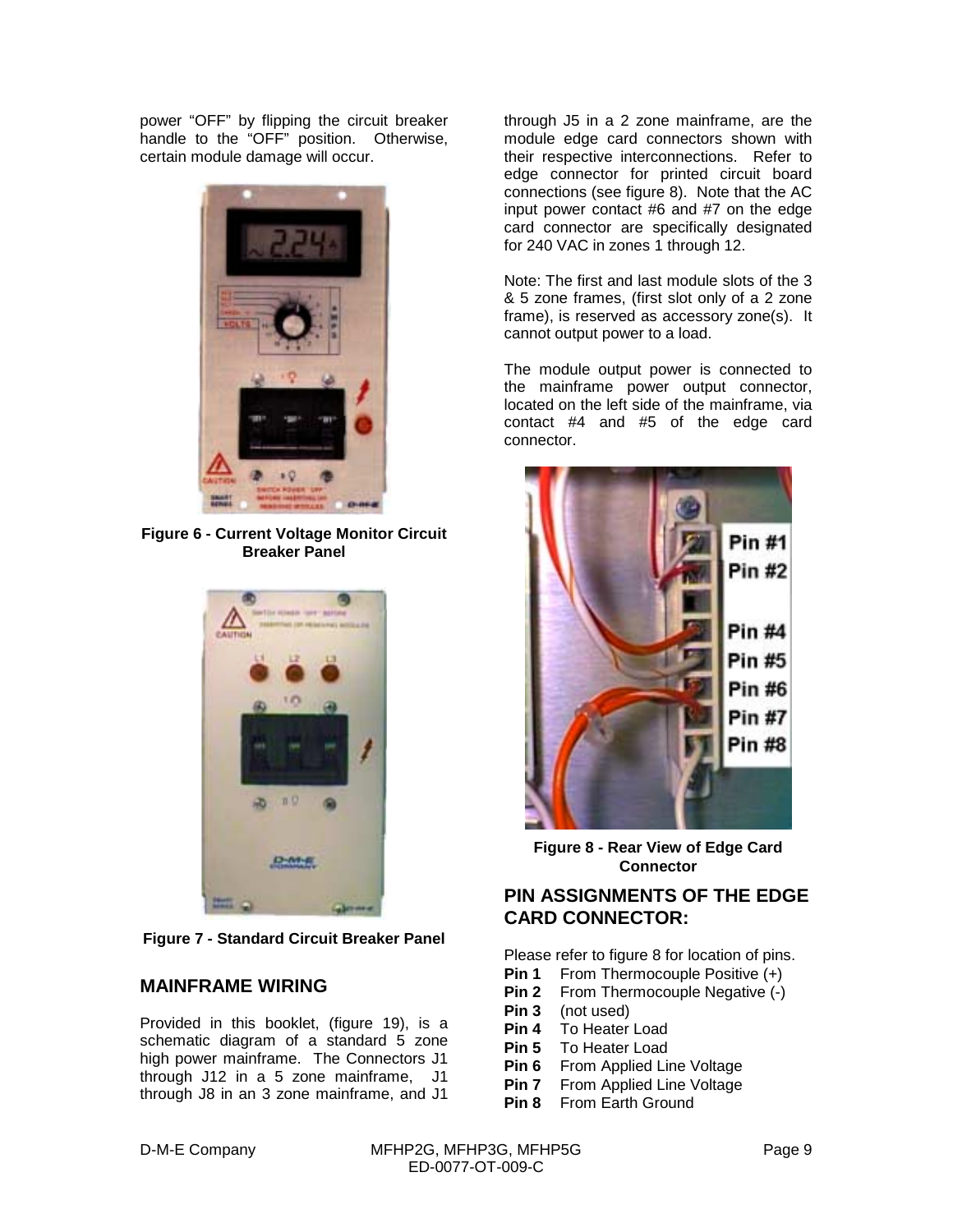power "OFF" by flipping the circuit breaker handle to the "OFF" position. Otherwise, certain module damage will occur.



**Figure 6 - Current Voltage Monitor Circuit Breaker Panel**



**Figure 7 - Standard Circuit Breaker Panel**

#### **MAINFRAME WIRING**

Provided in this booklet, (figure 19), is a schematic diagram of a standard 5 zone high power mainframe. The Connectors J1 through J12 in a 5 zone mainframe, J1 through J8 in an 3 zone mainframe, and J1

through J5 in a 2 zone mainframe, are the module edge card connectors shown with their respective interconnections. Refer to edge connector for printed circuit board connections (see figure 8). Note that the AC input power contact #6 and #7 on the edge card connector are specifically designated for 240 VAC in zones 1 through 12.

Note: The first and last module slots of the 3 & 5 zone frames, (first slot only of a 2 zone frame), is reserved as accessory zone(s). It cannot output power to a load.

The module output power is connected to the mainframe power output connector, located on the left side of the mainframe, via contact #4 and #5 of the edge card connector.



**Figure 8 - Rear View of Edge Card Connector**

#### **PIN ASSIGNMENTS OF THE EDGE CARD CONNECTOR:**

Please refer to figure 8 for location of pins.

- **Pin 1** From Thermocouple Positive (+)
- **Pin 2** From Thermocouple Negative (-)
- **Pin 3** (not used)
- **Pin 4** To Heater Load
- **Pin 5** To Heater Load
- **Pin 6** From Applied Line Voltage
- **Pin 7** From Applied Line Voltage
- **Pin 8** From Earth Ground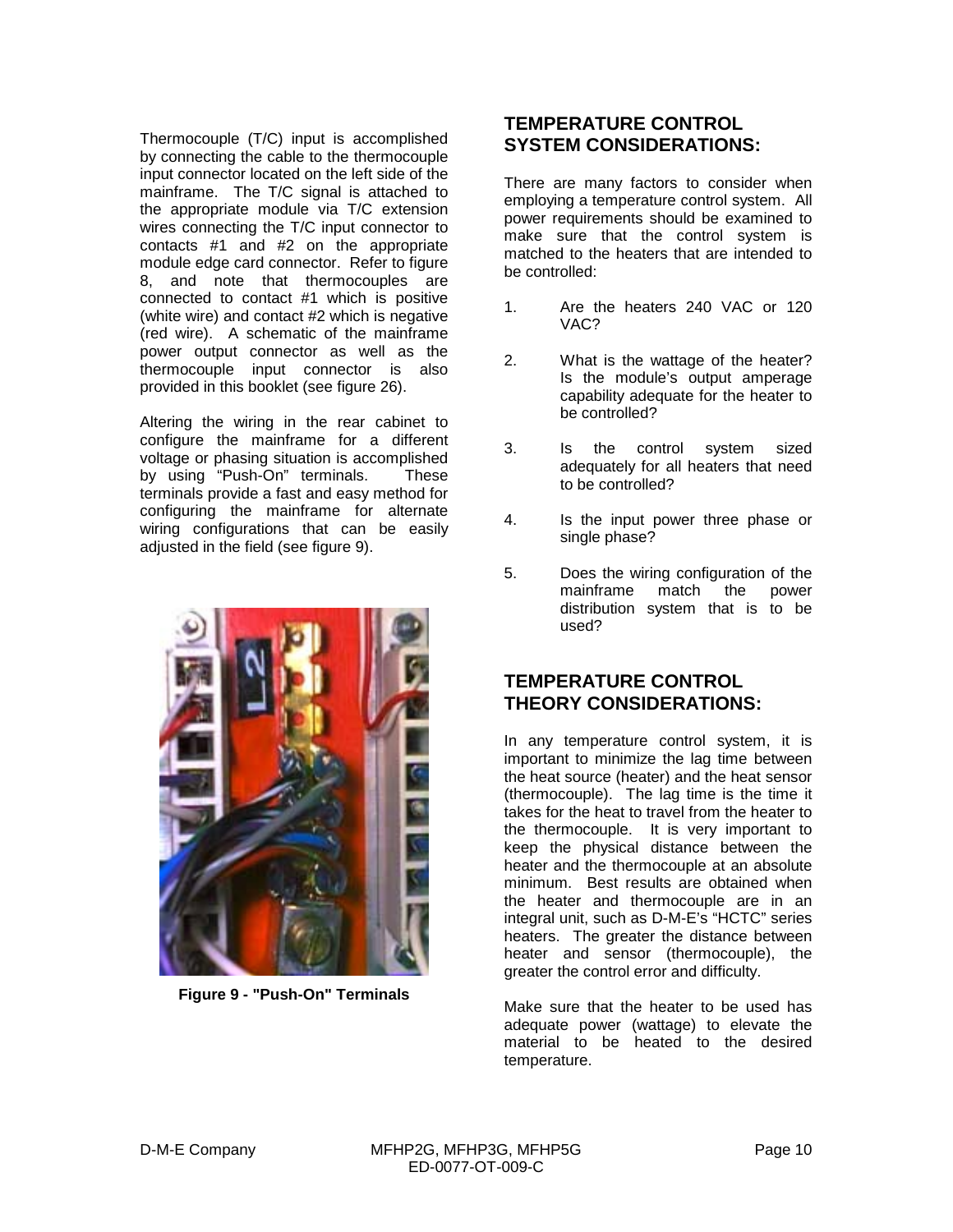Thermocouple (T/C) input is accomplished by connecting the cable to the thermocouple input connector located on the left side of the mainframe. The T/C signal is attached to the appropriate module via T/C extension wires connecting the T/C input connector to contacts #1 and #2 on the appropriate module edge card connector. Refer to figure 8, and note that thermocouples are connected to contact #1 which is positive (white wire) and contact #2 which is negative (red wire). A schematic of the mainframe power output connector as well as the thermocouple input connector is also provided in this booklet (see figure 26).

Altering the wiring in the rear cabinet to configure the mainframe for a different voltage or phasing situation is accomplished by using "Push-On" terminals. These terminals provide a fast and easy method for configuring the mainframe for alternate wiring configurations that can be easily adjusted in the field (see figure 9).



**Figure 9 - "Push-On" Terminals**

#### **TEMPERATURE CONTROL SYSTEM CONSIDERATIONS:**

There are many factors to consider when employing a temperature control system. All power requirements should be examined to make sure that the control system is matched to the heaters that are intended to be controlled:

- 1. Are the heaters 240 VAC or 120 VAC?
- 2. What is the wattage of the heater? Is the module's output amperage capability adequate for the heater to be controlled?
- 3. Is the control system sized adequately for all heaters that need to be controlled?
- 4. Is the input power three phase or single phase?
- 5. Does the wiring configuration of the mainframe match the power distribution system that is to be used?

#### **TEMPERATURE CONTROL THEORY CONSIDERATIONS:**

In any temperature control system, it is important to minimize the lag time between the heat source (heater) and the heat sensor (thermocouple). The lag time is the time it takes for the heat to travel from the heater to the thermocouple. It is very important to keep the physical distance between the heater and the thermocouple at an absolute minimum. Best results are obtained when the heater and thermocouple are in an integral unit, such as D-M-E's "HCTC" series heaters. The greater the distance between heater and sensor (thermocouple), the greater the control error and difficulty.

Make sure that the heater to be used has adequate power (wattage) to elevate the material to be heated to the desired temperature.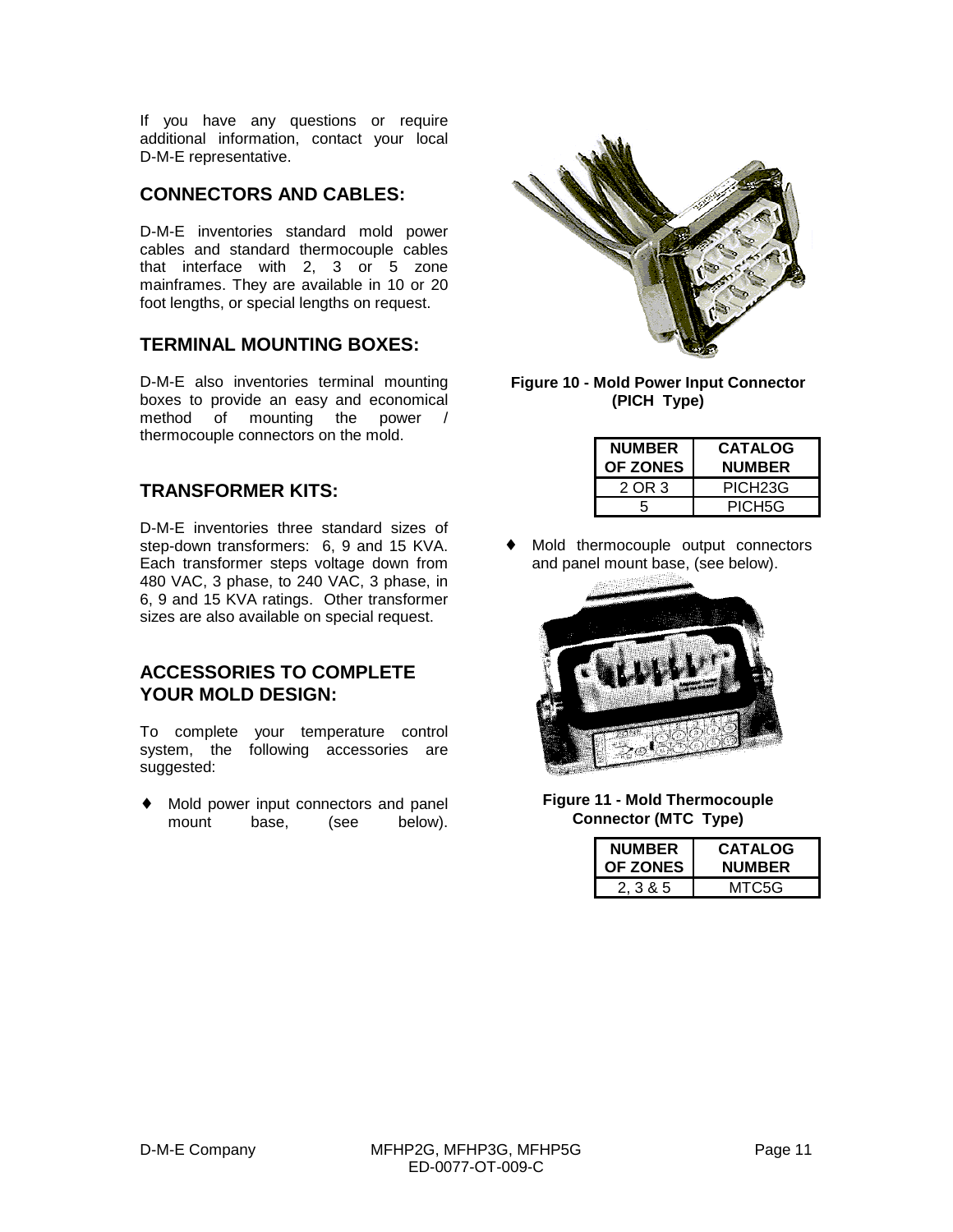If you have any questions or require additional information, contact your local D-M-E representative.

#### **CONNECTORS AND CABLES:**

D-M-E inventories standard mold power cables and standard thermocouple cables that interface with 2, 3 or 5 zone mainframes. They are available in 10 or 20 foot lengths, or special lengths on request.

#### **TERMINAL MOUNTING BOXES:**

D-M-E also inventories terminal mounting boxes to provide an easy and economical method of mounting the power / thermocouple connectors on the mold.

#### **TRANSFORMER KITS:**

D-M-E inventories three standard sizes of step-down transformers: 6, 9 and 15 KVA. Each transformer steps voltage down from 480 VAC, 3 phase, to 240 VAC, 3 phase, in 6, 9 and 15 KVA ratings. Other transformer sizes are also available on special request.

#### **ACCESSORIES TO COMPLETE YOUR MOLD DESIGN:**

To complete your temperature control system, the following accessories are suggested:

♦ Mold power input connectors and panel mount base, (see below).



**Figure 10 - Mold Power Input Connector (PICH Type)**

| <b>NUMBER</b><br>OF ZONES | <b>CATALOG</b><br><b>NUMBER</b> |
|---------------------------|---------------------------------|
| 2 OR 3                    | PICH <sub>23</sub> G            |
| 5                         | PICH <sub>5G</sub>              |

Mold thermocouple output connectors and panel mount base, (see below).



**Figure 11 - Mold Thermocouple Connector (MTC Type)**

| <b>NUMBER</b><br><b>OF ZONES</b> | <b>CATALOG</b><br><b>NUMBER</b> |
|----------------------------------|---------------------------------|
| 2.3&5                            | MTC5G                           |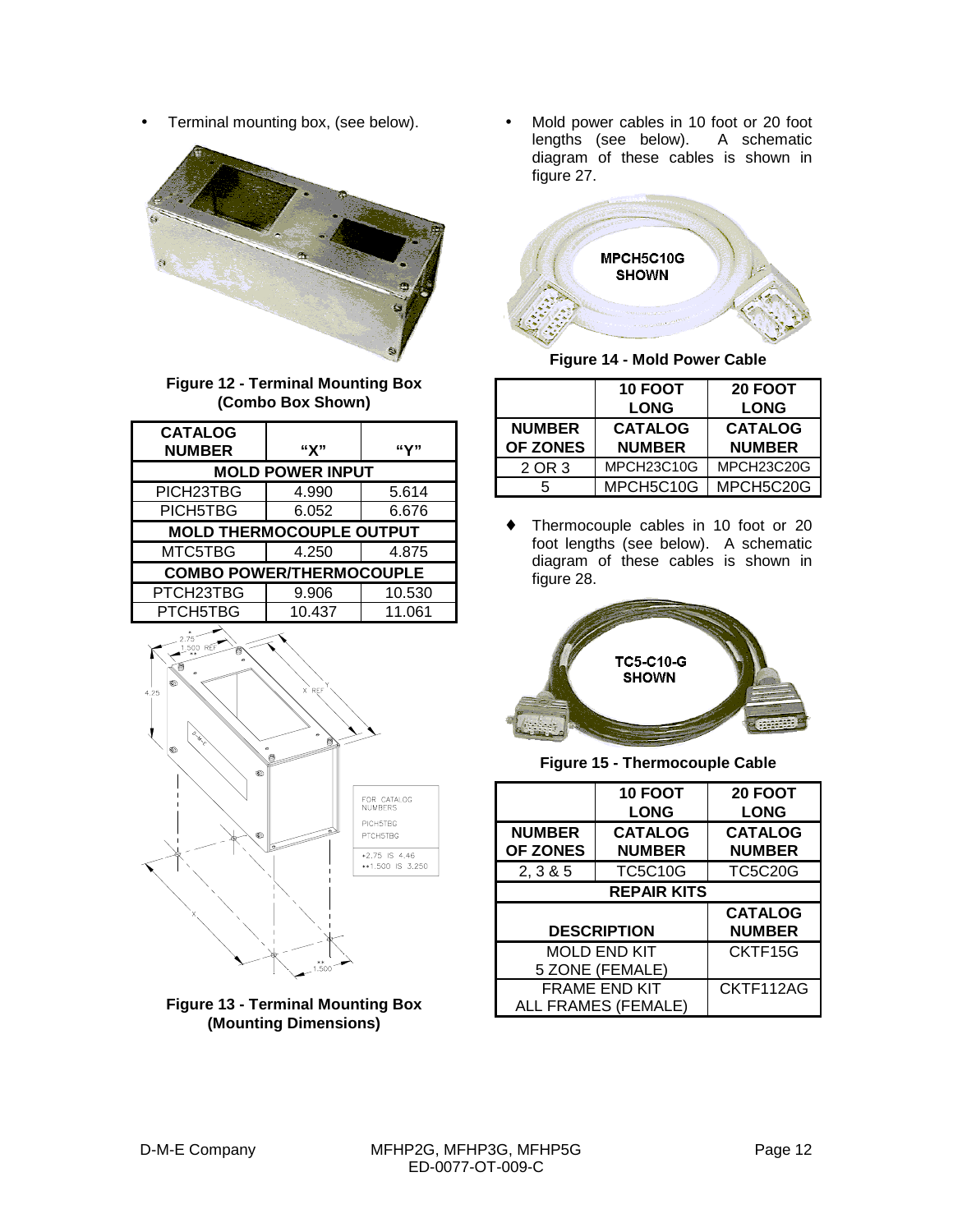• Terminal mounting box, (see below).





| <b>CATALOG</b><br><b>NUMBER</b> | "X"    | "Y"    |
|---------------------------------|--------|--------|
| <b>MOLD POWER INPUT</b>         |        |        |
| PICH23TBG                       | 4.990  | 5.614  |
| PICH5TBG                        | 6.052  | 6.676  |
| <b>MOLD THERMOCOUPLE OUTPUT</b> |        |        |
| MTC5TBG                         | 4.250  | 4.875  |
| <b>COMBO POWER/THERMOCOUPLE</b> |        |        |
| PTCH23TBG                       | 9.906  | 10.530 |
| PTCH5TBG                        | 10.437 | 11.061 |





• Mold power cables in 10 foot or 20 foot lengths (see below). A schematic diagram of these cables is shown in figure 27.



**Figure 14 - Mold Power Cable**

|                                  | <b>10 FOOT</b><br><b>LONG</b>   | <b>20 FOOT</b><br><b>LONG</b>   |
|----------------------------------|---------------------------------|---------------------------------|
| <b>NUMBER</b><br><b>OF ZONES</b> | <b>CATALOG</b><br><b>NUMBER</b> | <b>CATALOG</b><br><b>NUMBER</b> |
| 2 OR 3                           | MPCH23C10G                      | MPCH23C20G                      |
|                                  | MPCH5C10G                       | MPCH5C20G                       |

♦ Thermocouple cables in 10 foot or 20 foot lengths (see below). A schematic diagram of these cables is shown in figure 28.



**Figure 15 - Thermocouple Cable**

|                      | 10 FOOT        | <b>20 FOOT</b> |
|----------------------|----------------|----------------|
|                      | <b>LONG</b>    | <b>LONG</b>    |
| <b>NUMBER</b>        | <b>CATALOG</b> | <b>CATALOG</b> |
| <b>OF ZONES</b>      | <b>NUMBER</b>  | <b>NUMBER</b>  |
| 2, 3 & 5             | <b>TC5C10G</b> | <b>TC5C20G</b> |
| <b>REPAIR KITS</b>   |                |                |
|                      |                | <b>CATALOG</b> |
| <b>DESCRIPTION</b>   |                | <b>NUMBER</b>  |
| <b>MOLD END KIT</b>  |                | CKTF15G        |
| 5 ZONE (FEMALE)      |                |                |
| <b>FRAME END KIT</b> |                | CKTF112AG      |
| ALL FRAMES (FEMALE)  |                |                |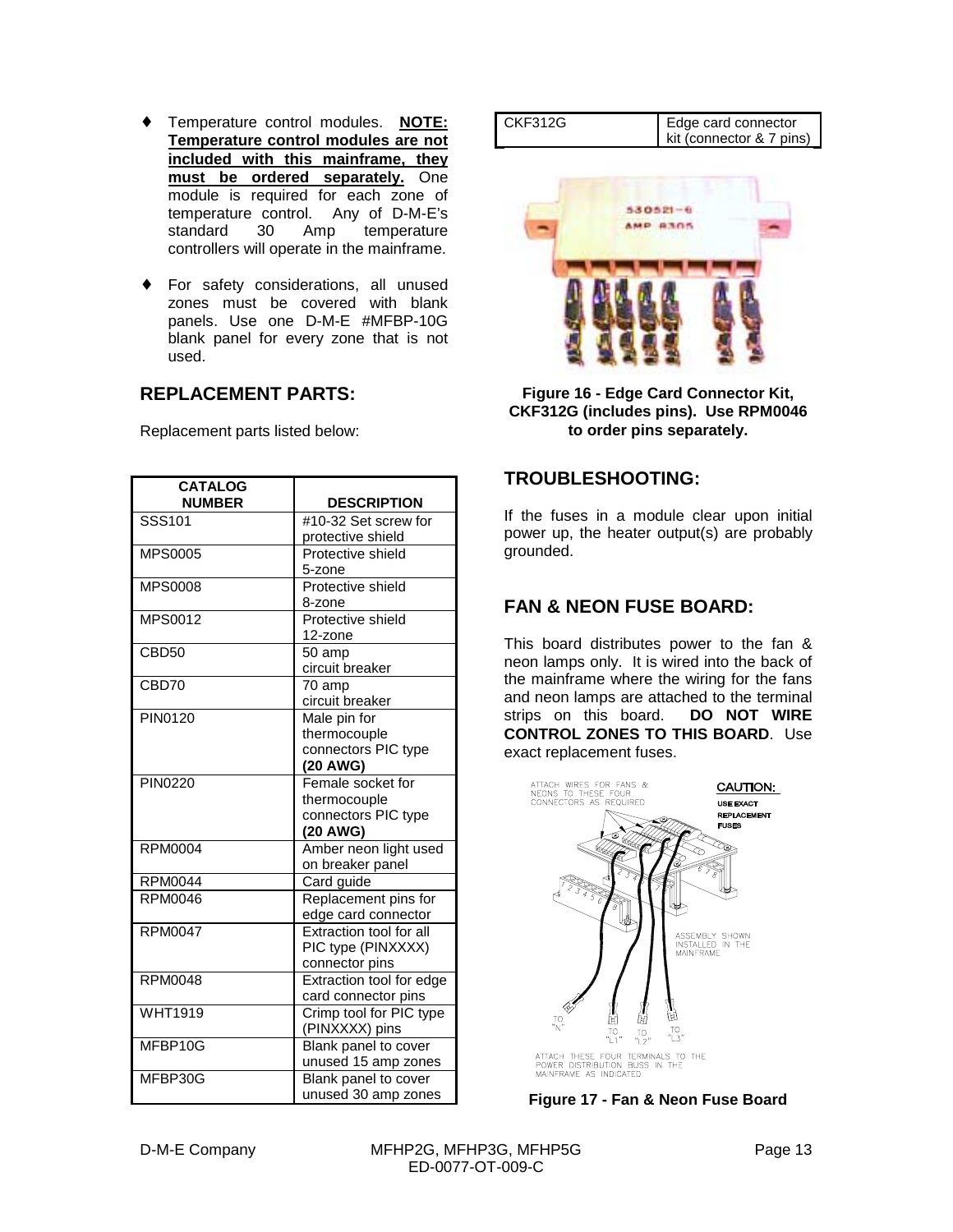- ♦ Temperature control modules. **NOTE: Temperature control modules are not included with this mainframe, they must be ordered separately.** One module is required for each zone of temperature control. Any of D-M-E's standard 30 Amp temperature controllers will operate in the mainframe.
- ♦ For safety considerations, all unused zones must be covered with blank panels. Use one D-M-E #MFBP-10G blank panel for every zone that is not used.

#### **REPLACEMENT PARTS:**

Replacement parts listed below:

| <b>CATALOG</b><br><b>NUMBER</b> | <b>DESCRIPTION</b>                                                   |
|---------------------------------|----------------------------------------------------------------------|
| SSS101                          | #10-32 Set screw for<br>protective shield                            |
| <b>MPS0005</b>                  | Protective shield<br>5-zone                                          |
| <b>MPS0008</b>                  | Protective shield<br>8-zone                                          |
| <b>MPS0012</b>                  | Protective shield<br>12-zone                                         |
| CBD50                           | 50 amp<br>circuit breaker                                            |
| CBD70                           | $\overline{70}$ amp<br>circuit breaker                               |
| <b>PIN0120</b>                  | Male pin for<br>thermocouple<br>connectors PIC type<br>(20 AWG)      |
| <b>PIN0220</b>                  | Female socket for<br>thermocouple<br>connectors PIC type<br>(20 AWG) |
| <b>RPM0004</b>                  | Amber neon light used<br>on breaker panel                            |
| <b>RPM0044</b>                  | Card guide                                                           |
| <b>RPM0046</b>                  | Replacement pins for<br>edge card connector                          |
| <b>RPM0047</b>                  | Extraction tool for all<br>PIC type (PINXXXX)<br>connector pins      |
| <b>RPM0048</b>                  | Extraction tool for edge<br>card connector pins                      |
| <b>WHT1919</b>                  | Crimp tool for PIC type<br>(PINXXXX) pins                            |
| MFBP10G                         | Blank panel to cover<br>unused 15 amp zones                          |
| MFBP30G                         | Blank panel to cover<br>unused 30 amp zones                          |

| CKF312G | Edge card connector<br>kit (connector & 7 pins) |
|---------|-------------------------------------------------|
|         |                                                 |



**Figure 16 - Edge Card Connector Kit, CKF312G (includes pins). Use RPM0046 to order pins separately.**

#### **TROUBLESHOOTING:**

If the fuses in a module clear upon initial power up, the heater output(s) are probably grounded.

#### **FAN & NEON FUSE BOARD:**

This board distributes power to the fan & neon lamps only. It is wired into the back of the mainframe where the wiring for the fans and neon lamps are attached to the terminal strips on this board. **DO NOT WIRE CONTROL ZONES TO THIS BOARD**. Use exact replacement fuses.



**Figure 17 - Fan & Neon Fuse Board**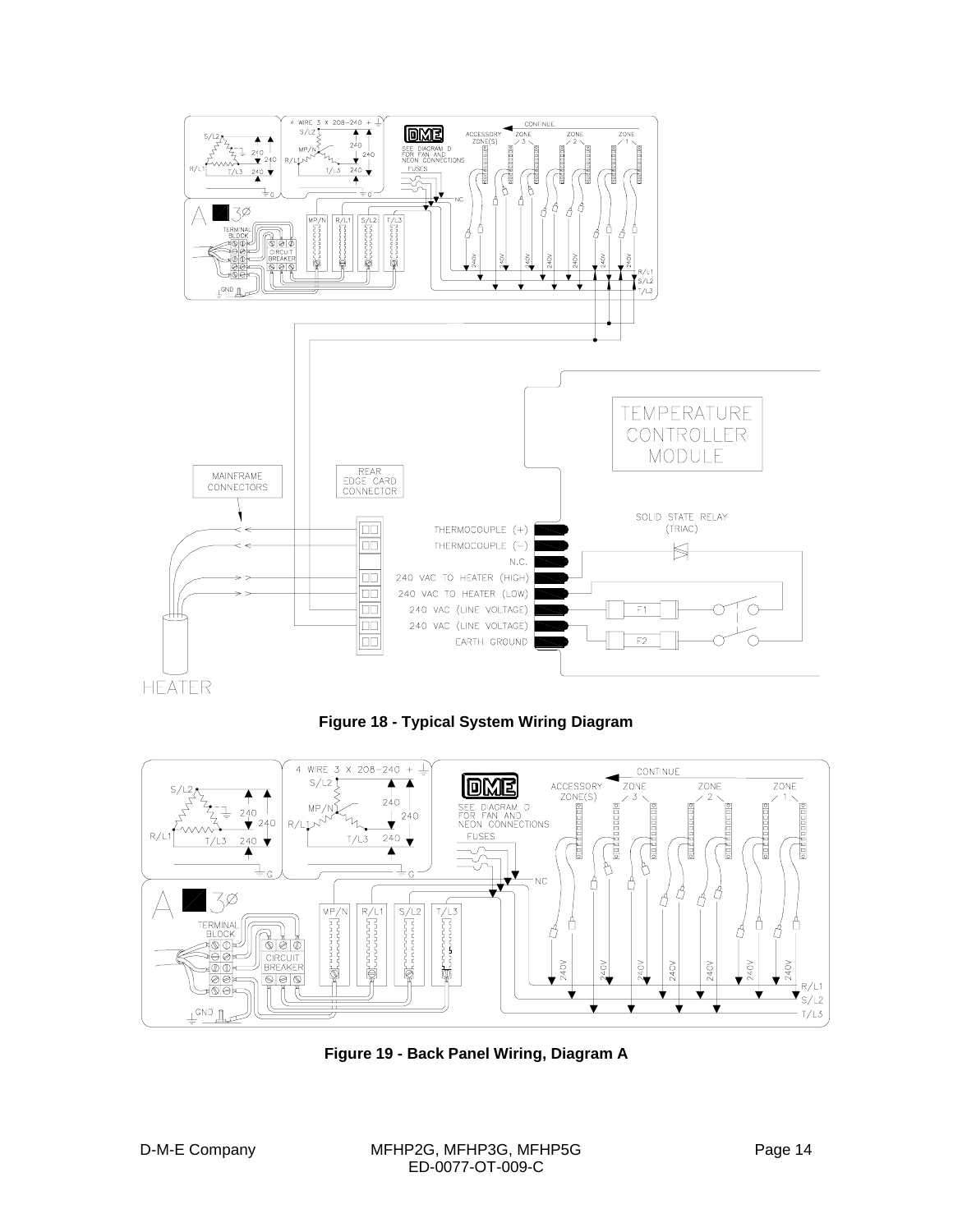





**Figure 19 - Back Panel Wiring, Diagram A**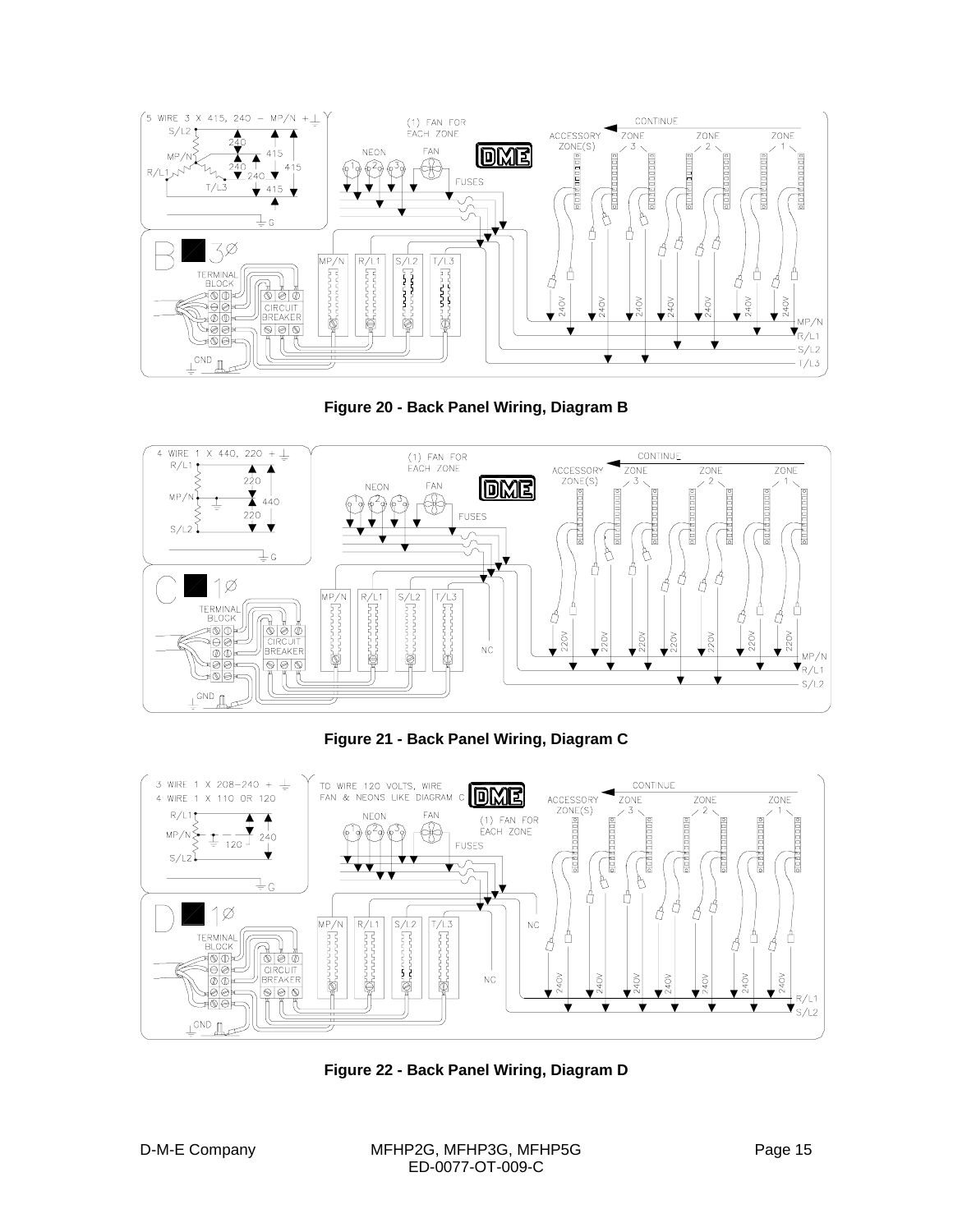





**Figure 21 - Back Panel Wiring, Diagram C**



**Figure 22 - Back Panel Wiring, Diagram D**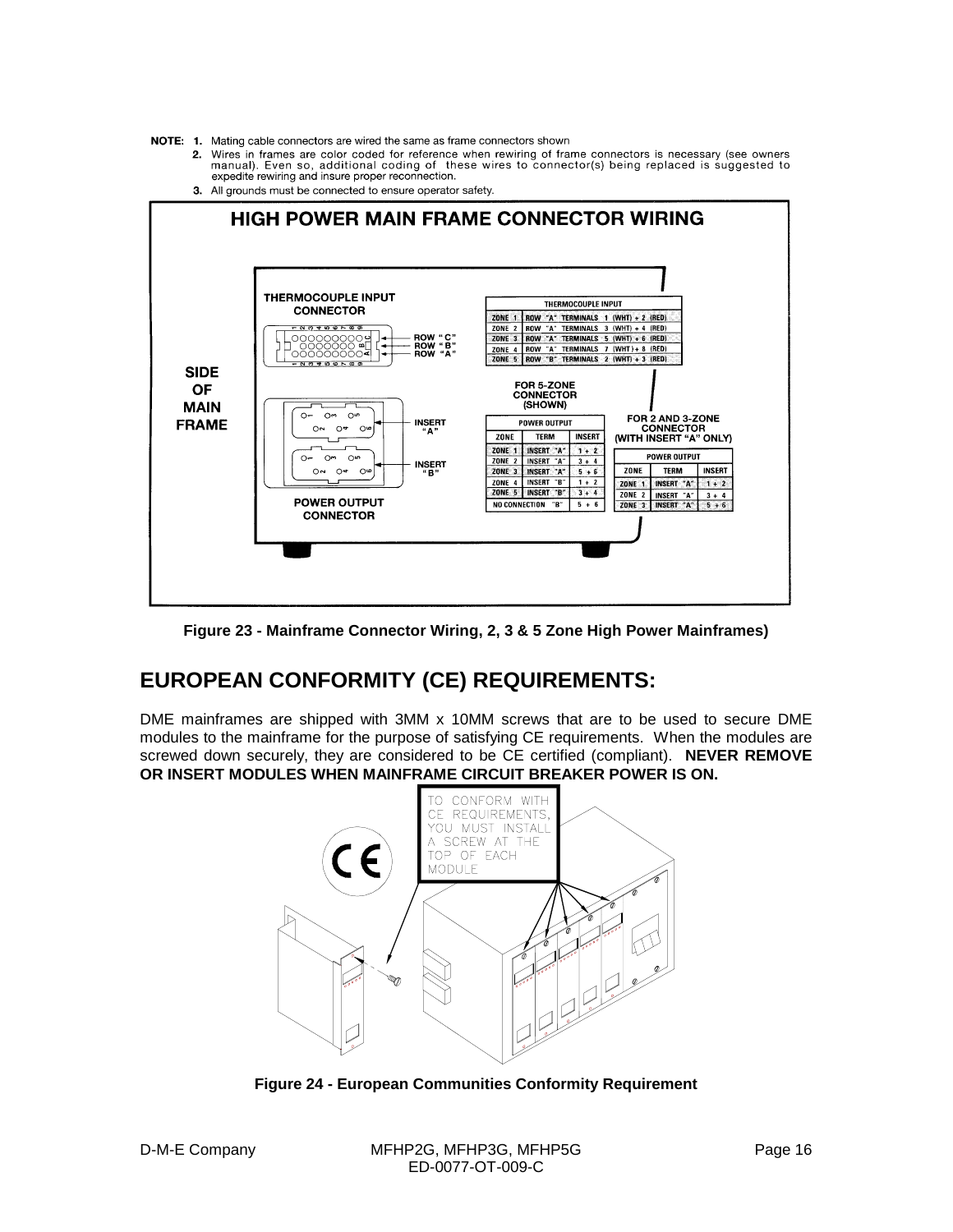NOTE: 1. Mating cable connectors are wired the same as frame connectors shown

- 2. Wires in frames are color coded for reference when rewiring of frame connectors is necessary (see owners manual). Even so, additional coding of these wires to connector(s) being replaced is suggested to expedite rewirin
- 3. All grounds must be connected to ensure operator safety.



**Figure 23 - Mainframe Connector Wiring, 2, 3 & 5 Zone High Power Mainframes)**

#### **EUROPEAN CONFORMITY (CE) REQUIREMENTS:**

DME mainframes are shipped with 3MM x 10MM screws that are to be used to secure DME modules to the mainframe for the purpose of satisfying CE requirements. When the modules are screwed down securely, they are considered to be CE certified (compliant). **NEVER REMOVE OR INSERT MODULES WHEN MAINFRAME CIRCUIT BREAKER POWER IS ON.**



**Figure 24 - European Communities Conformity Requirement**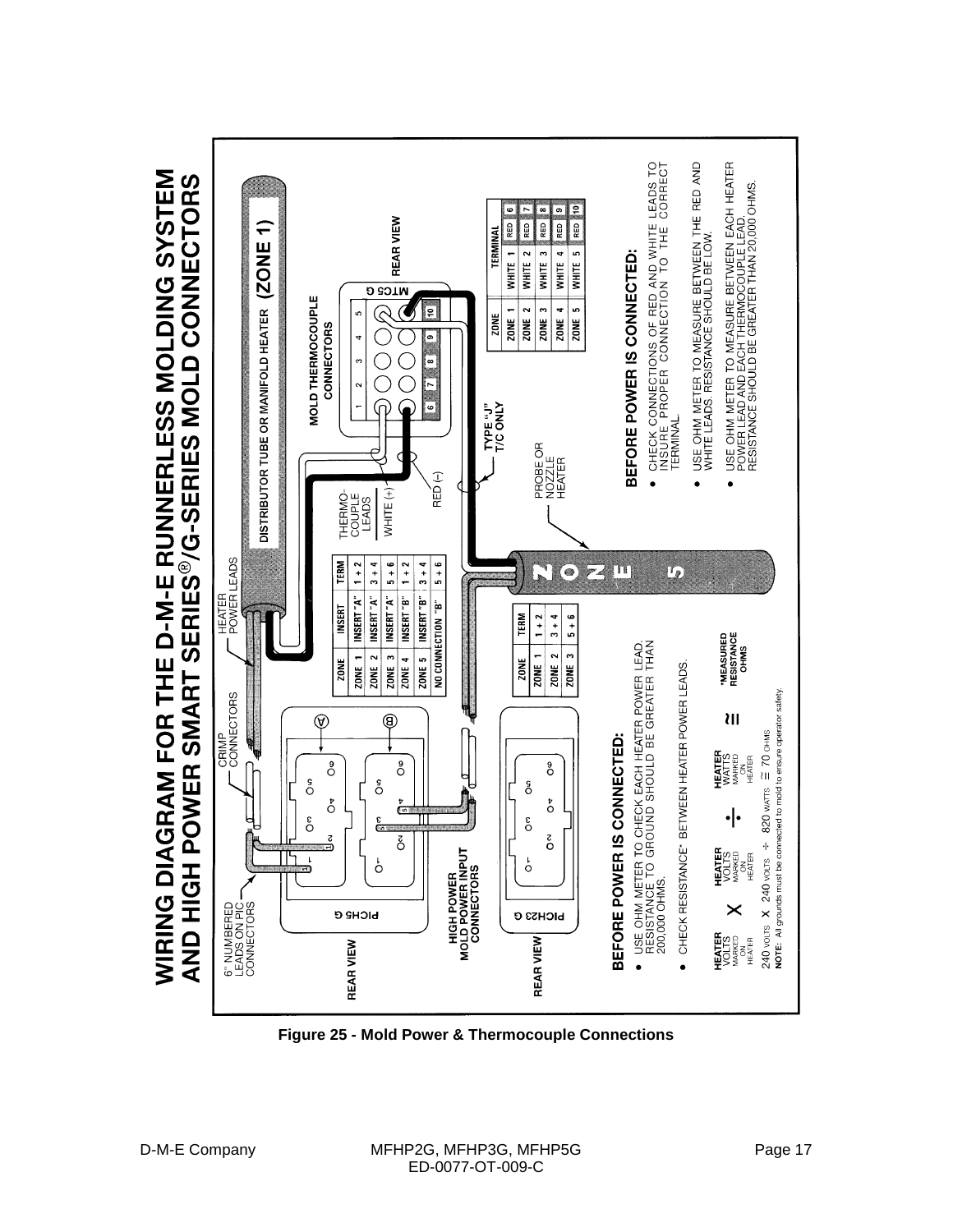

**Figure 25 - Mold Power & Thermocouple Connections**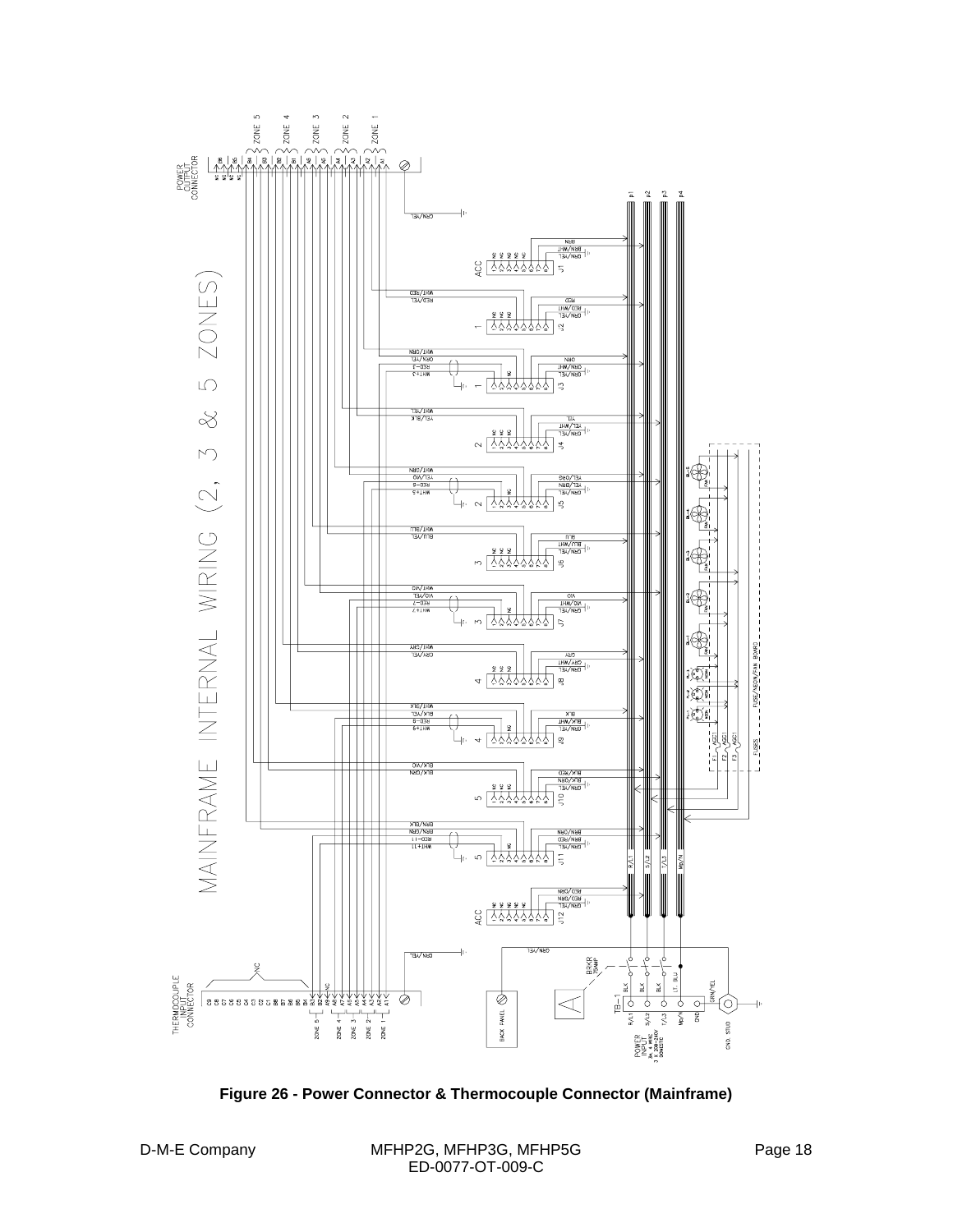

**Figure 26 - Power Connector & Thermocouple Connector (Mainframe)**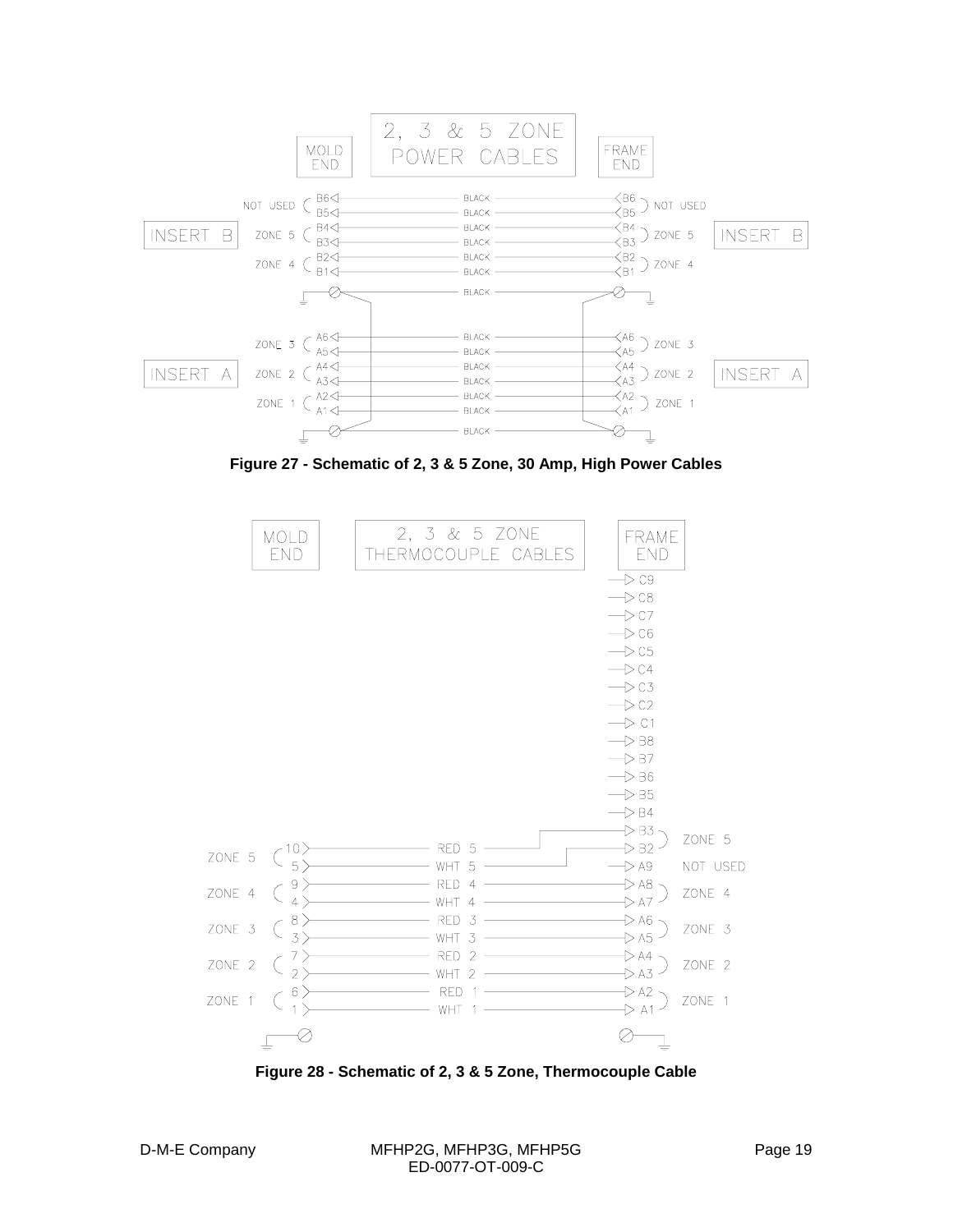

**Figure 27 - Schematic of 2, 3 & 5 Zone, 30 Amp, High Power Cables**



**Figure 28 - Schematic of 2, 3 & 5 Zone, Thermocouple Cable**